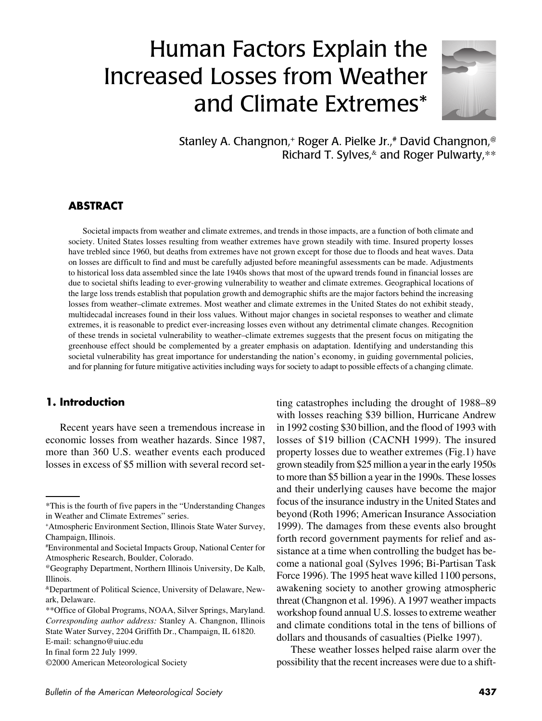# Human Factors Explain the Increased Losses from Weather and Climate Extremes\*



Stanley A. Changnon,<sup>+</sup> Roger A. Pielke Jr.,<sup>#</sup> David Changnon,<sup>@</sup> Richard T. Sylves, and Roger Pulwarty, \*\*

#### **ABSTRACT**

Societal impacts from weather and climate extremes, and trends in those impacts, are a function of both climate and society. United States losses resulting from weather extremes have grown steadily with time. Insured property losses have trebled since 1960, but deaths from extremes have not grown except for those due to floods and heat waves. Data on losses are difficult to find and must be carefully adjusted before meaningful assessments can be made. Adjustments to historical loss data assembled since the late 1940s shows that most of the upward trends found in financial losses are due to societal shifts leading to ever-growing vulnerability to weather and climate extremes. Geographical locations of the large loss trends establish that population growth and demographic shifts are the major factors behind the increasing losses from weather–climate extremes. Most weather and climate extremes in the United States do not exhibit steady, multidecadal increases found in their loss values. Without major changes in societal responses to weather and climate extremes, it is reasonable to predict ever-increasing losses even without any detrimental climate changes. Recognition of these trends in societal vulnerability to weather–climate extremes suggests that the present focus on mitigating the greenhouse effect should be complemented by a greater emphasis on adaptation. Identifying and understanding this societal vulnerability has great importance for understanding the nation's economy, in guiding governmental policies, and for planning for future mitigative activities including ways for society to adapt to possible effects of a changing climate.

#### **1. Introduction**

Recent years have seen a tremendous increase in economic losses from weather hazards. Since 1987, more than 360 U.S. weather events each produced losses in excess of \$5 million with several record setting catastrophes including the drought of 1988–89 with losses reaching \$39 billion, Hurricane Andrew in 1992 costing \$30 billion, and the flood of 1993 with losses of \$19 billion (CACNH 1999). The insured property losses due to weather extremes (Fig.1) have grown steadily from \$25 million a year in the early 1950s to more than \$5 billion a year in the 1990s. These losses and their underlying causes have become the major focus of the insurance industry in the United States and beyond (Roth 1996; American Insurance Association 1999). The damages from these events also brought forth record government payments for relief and assistance at a time when controlling the budget has become a national goal (Sylves 1996; Bi-Partisan Task Force 1996). The 1995 heat wave killed 1100 persons, awakening society to another growing atmospheric threat (Changnon et al. 1996). A 1997 weather impacts workshop found annual U.S. losses to extreme weather and climate conditions total in the tens of billions of dollars and thousands of casualties (Pielke 1997).

These weather losses helped raise alarm over the possibility that the recent increases were due to a shift-

<sup>\*</sup>This is the fourth of five papers in the "Understanding Changes in Weather and Climate Extremes" series.

<sup>+</sup>Atmospheric Environment Section, Illinois State Water Survey, Champaign, Illinois.

<sup>#</sup> Environmental and Societal Impacts Group, National Center for Atmospheric Research, Boulder, Colorado.

<sup>@</sup>Geography Department, Northern Illinois University, De Kalb, Illinois.

<sup>&</sup>amp;Department of Political Science, University of Delaware, Newark, Delaware.

<sup>\*\*</sup>Office of Global Programs, NOAA, Silver Springs, Maryland. *Corresponding author address:* Stanley A. Changnon, Illinois State Water Survey, 2204 Griffith Dr., Champaign, IL 61820.

E-mail: schangno@uiuc.edu

In final form 22 July 1999.

<sup>©2000</sup> American Meteorological Society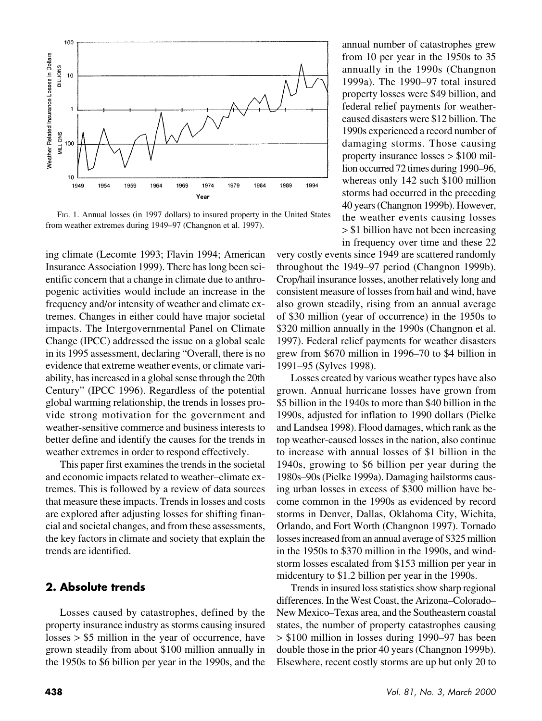

FIG. 1. Annual losses (in 1997 dollars) to insured property in the United States from weather extremes during 1949–97 (Changnon et al. 1997).

ing climate (Lecomte 1993; Flavin 1994; American Insurance Association 1999). There has long been scientific concern that a change in climate due to anthropogenic activities would include an increase in the frequency and/or intensity of weather and climate extremes. Changes in either could have major societal impacts. The Intergovernmental Panel on Climate Change (IPCC) addressed the issue on a global scale in its 1995 assessment, declaring "Overall, there is no evidence that extreme weather events, or climate variability, has increased in a global sense through the 20th Century" (IPCC 1996). Regardless of the potential global warming relationship, the trends in losses provide strong motivation for the government and weather-sensitive commerce and business interests to better define and identify the causes for the trends in weather extremes in order to respond effectively.

This paper first examines the trends in the societal and economic impacts related to weather–climate extremes. This is followed by a review of data sources that measure these impacts. Trends in losses and costs are explored after adjusting losses for shifting financial and societal changes, and from these assessments, the key factors in climate and society that explain the trends are identified.

## **2. Absolute trends**

Losses caused by catastrophes, defined by the property insurance industry as storms causing insured losses > \$5 million in the year of occurrence, have grown steadily from about \$100 million annually in the 1950s to \$6 billion per year in the 1990s, and the annual number of catastrophes grew from 10 per year in the 1950s to 35 annually in the 1990s (Changnon 1999a). The 1990–97 total insured property losses were \$49 billion, and federal relief payments for weathercaused disasters were \$12 billion. The 1990s experienced a record number of damaging storms. Those causing property insurance losses > \$100 million occurred 72 times during 1990–96, whereas only 142 such \$100 million storms had occurred in the preceding 40 years (Changnon 1999b). However, the weather events causing losses > \$1 billion have not been increasing in frequency over time and these 22

very costly events since 1949 are scattered randomly throughout the 1949–97 period (Changnon 1999b). Crop/hail insurance losses, another relatively long and consistent measure of losses from hail and wind, have also grown steadily, rising from an annual average of \$30 million (year of occurrence) in the 1950s to \$320 million annually in the 1990s (Changnon et al. 1997). Federal relief payments for weather disasters grew from \$670 million in 1996–70 to \$4 billion in 1991–95 (Sylves 1998).

Losses created by various weather types have also grown. Annual hurricane losses have grown from \$5 billion in the 1940s to more than \$40 billion in the 1990s, adjusted for inflation to 1990 dollars (Pielke and Landsea 1998). Flood damages, which rank as the top weather-caused losses in the nation, also continue to increase with annual losses of \$1 billion in the 1940s, growing to \$6 billion per year during the 1980s–90s (Pielke 1999a). Damaging hailstorms causing urban losses in excess of \$300 million have become common in the 1990s as evidenced by record storms in Denver, Dallas, Oklahoma City, Wichita, Orlando, and Fort Worth (Changnon 1997). Tornado losses increased from an annual average of \$325 million in the 1950s to \$370 million in the 1990s, and windstorm losses escalated from \$153 million per year in midcentury to \$1.2 billion per year in the 1990s.

Trends in insured loss statistics show sharp regional differences. In the West Coast, the Arizona–Colorado– New Mexico–Texas area, and the Southeastern coastal states, the number of property catastrophes causing > \$100 million in losses during 1990–97 has been double those in the prior 40 years (Changnon 1999b). Elsewhere, recent costly storms are up but only 20 to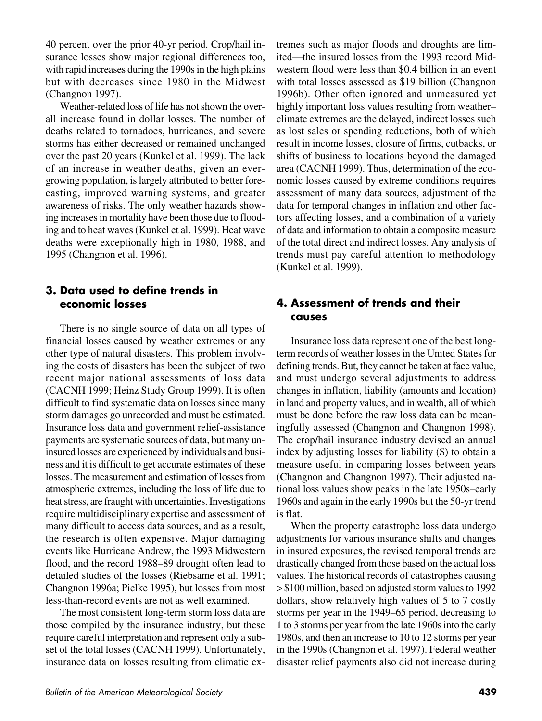40 percent over the prior 40-yr period. Crop/hail insurance losses show major regional differences too, with rapid increases during the 1990s in the high plains but with decreases since 1980 in the Midwest (Changnon 1997).

Weather-related loss of life has not shown the overall increase found in dollar losses. The number of deaths related to tornadoes, hurricanes, and severe storms has either decreased or remained unchanged over the past 20 years (Kunkel et al. 1999). The lack of an increase in weather deaths, given an evergrowing population, is largely attributed to better forecasting, improved warning systems, and greater awareness of risks. The only weather hazards showing increases in mortality have been those due to flooding and to heat waves (Kunkel et al. 1999). Heat wave deaths were exceptionally high in 1980, 1988, and 1995 (Changnon et al. 1996).

#### **3. Data used to define trends in economic losses**

There is no single source of data on all types of financial losses caused by weather extremes or any other type of natural disasters. This problem involving the costs of disasters has been the subject of two recent major national assessments of loss data (CACNH 1999; Heinz Study Group 1999). It is often difficult to find systematic data on losses since many storm damages go unrecorded and must be estimated. Insurance loss data and government relief-assistance payments are systematic sources of data, but many uninsured losses are experienced by individuals and business and it is difficult to get accurate estimates of these losses. The measurement and estimation of losses from atmospheric extremes, including the loss of life due to heat stress, are fraught with uncertainties. Investigations require multidisciplinary expertise and assessment of many difficult to access data sources, and as a result, the research is often expensive. Major damaging events like Hurricane Andrew, the 1993 Midwestern flood, and the record 1988–89 drought often lead to detailed studies of the losses (Riebsame et al. 1991; Changnon 1996a; Pielke 1995), but losses from most less-than-record events are not as well examined.

The most consistent long-term storm loss data are those compiled by the insurance industry, but these require careful interpretation and represent only a subset of the total losses (CACNH 1999). Unfortunately, insurance data on losses resulting from climatic extremes such as major floods and droughts are limited—the insured losses from the 1993 record Midwestern flood were less than \$0.4 billion in an event with total losses assessed as \$19 billion (Changnon 1996b). Other often ignored and unmeasured yet highly important loss values resulting from weather– climate extremes are the delayed, indirect losses such as lost sales or spending reductions, both of which result in income losses, closure of firms, cutbacks, or shifts of business to locations beyond the damaged area (CACNH 1999). Thus, determination of the economic losses caused by extreme conditions requires assessment of many data sources, adjustment of the data for temporal changes in inflation and other factors affecting losses, and a combination of a variety of data and information to obtain a composite measure of the total direct and indirect losses. Any analysis of trends must pay careful attention to methodology (Kunkel et al. 1999).

# **4. Assessment of trends and their causes**

Insurance loss data represent one of the best longterm records of weather losses in the United States for defining trends. But, they cannot be taken at face value, and must undergo several adjustments to address changes in inflation, liability (amounts and location) in land and property values, and in wealth, all of which must be done before the raw loss data can be meaningfully assessed (Changnon and Changnon 1998). The crop/hail insurance industry devised an annual index by adjusting losses for liability (\$) to obtain a measure useful in comparing losses between years (Changnon and Changnon 1997). Their adjusted national loss values show peaks in the late 1950s–early 1960s and again in the early 1990s but the 50-yr trend is flat.

When the property catastrophe loss data undergo adjustments for various insurance shifts and changes in insured exposures, the revised temporal trends are drastically changed from those based on the actual loss values. The historical records of catastrophes causing > \$100 million, based on adjusted storm values to 1992 dollars, show relatively high values of 5 to 7 costly storms per year in the 1949–65 period, decreasing to 1 to 3 storms per year from the late 1960s into the early 1980s, and then an increase to 10 to 12 storms per year in the 1990s (Changnon et al. 1997). Federal weather disaster relief payments also did not increase during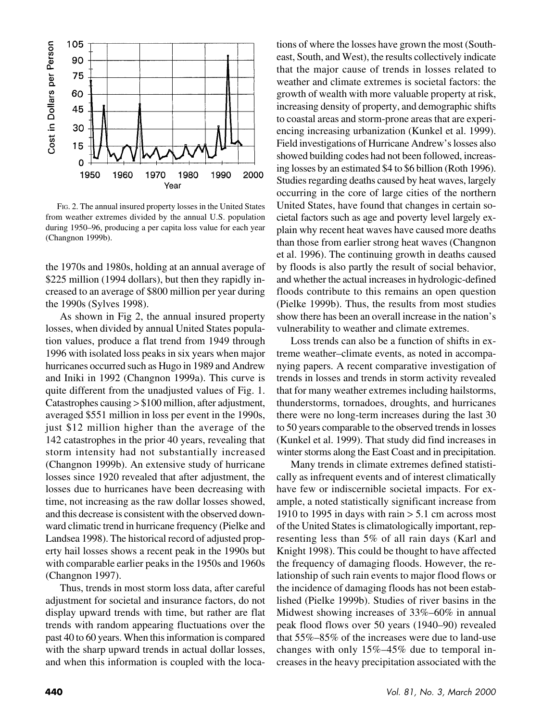

FIG. 2. The annual insured property losses in the United States from weather extremes divided by the annual U.S. population during 1950–96, producing a per capita loss value for each year (Changnon 1999b).

the 1970s and 1980s, holding at an annual average of \$225 million (1994 dollars), but then they rapidly increased to an average of \$800 million per year during the 1990s (Sylves 1998).

As shown in Fig 2, the annual insured property losses, when divided by annual United States population values, produce a flat trend from 1949 through 1996 with isolated loss peaks in six years when major hurricanes occurred such as Hugo in 1989 and Andrew and Iniki in 1992 (Changnon 1999a). This curve is quite different from the unadjusted values of Fig. 1. Catastrophes causing > \$100 million, after adjustment, averaged \$551 million in loss per event in the 1990s, just \$12 million higher than the average of the 142 catastrophes in the prior 40 years, revealing that storm intensity had not substantially increased (Changnon 1999b). An extensive study of hurricane losses since 1920 revealed that after adjustment, the losses due to hurricanes have been decreasing with time, not increasing as the raw dollar losses showed, and this decrease is consistent with the observed downward climatic trend in hurricane frequency (Pielke and Landsea 1998). The historical record of adjusted property hail losses shows a recent peak in the 1990s but with comparable earlier peaks in the 1950s and 1960s (Changnon 1997).

Thus, trends in most storm loss data, after careful adjustment for societal and insurance factors, do not display upward trends with time, but rather are flat trends with random appearing fluctuations over the past 40 to 60 years. When this information is compared with the sharp upward trends in actual dollar losses, and when this information is coupled with the locations of where the losses have grown the most (Southeast, South, and West), the results collectively indicate that the major cause of trends in losses related to weather and climate extremes is societal factors: the growth of wealth with more valuable property at risk, increasing density of property, and demographic shifts to coastal areas and storm-prone areas that are experiencing increasing urbanization (Kunkel et al. 1999). Field investigations of Hurricane Andrew's losses also showed building codes had not been followed, increasing losses by an estimated \$4 to \$6 billion (Roth 1996). Studies regarding deaths caused by heat waves, largely occurring in the core of large cities of the northern United States, have found that changes in certain societal factors such as age and poverty level largely explain why recent heat waves have caused more deaths than those from earlier strong heat waves (Changnon et al. 1996). The continuing growth in deaths caused by floods is also partly the result of social behavior, and whether the actual increases in hydrologic-defined floods contribute to this remains an open question (Pielke 1999b). Thus, the results from most studies show there has been an overall increase in the nation's vulnerability to weather and climate extremes.

Loss trends can also be a function of shifts in extreme weather–climate events, as noted in accompanying papers. A recent comparative investigation of trends in losses and trends in storm activity revealed that for many weather extremes including hailstorms, thunderstorms, tornadoes, droughts, and hurricanes there were no long-term increases during the last 30 to 50 years comparable to the observed trends in losses (Kunkel et al. 1999). That study did find increases in winter storms along the East Coast and in precipitation.

Many trends in climate extremes defined statistically as infrequent events and of interest climatically have few or indiscernible societal impacts. For example, a noted statistically significant increase from 1910 to 1995 in days with rain  $> 5.1$  cm across most of the United States is climatologically important, representing less than 5% of all rain days (Karl and Knight 1998). This could be thought to have affected the frequency of damaging floods. However, the relationship of such rain events to major flood flows or the incidence of damaging floods has not been established (Pielke 1999b). Studies of river basins in the Midwest showing increases of 33%–60% in annual peak flood flows over 50 years (1940–90) revealed that 55%–85% of the increases were due to land-use changes with only 15%–45% due to temporal increases in the heavy precipitation associated with the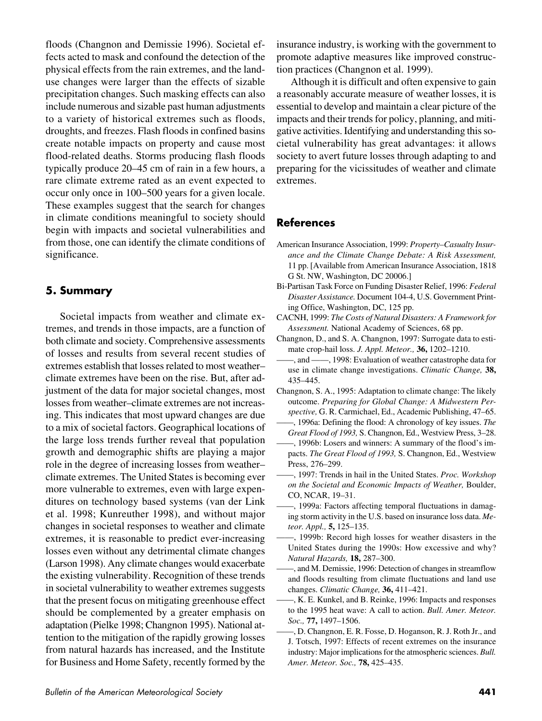floods (Changnon and Demissie 1996). Societal effects acted to mask and confound the detection of the physical effects from the rain extremes, and the landuse changes were larger than the effects of sizable precipitation changes. Such masking effects can also include numerous and sizable past human adjustments to a variety of historical extremes such as floods, droughts, and freezes. Flash floods in confined basins create notable impacts on property and cause most flood-related deaths. Storms producing flash floods typically produce 20–45 cm of rain in a few hours, a rare climate extreme rated as an event expected to occur only once in 100–500 years for a given locale. These examples suggest that the search for changes in climate conditions meaningful to society should begin with impacts and societal vulnerabilities and from those, one can identify the climate conditions of significance.

## **5. Summary**

Societal impacts from weather and climate extremes, and trends in those impacts, are a function of both climate and society. Comprehensive assessments of losses and results from several recent studies of extremes establish that losses related to most weather– climate extremes have been on the rise. But, after adjustment of the data for major societal changes, most losses from weather–climate extremes are not increasing. This indicates that most upward changes are due to a mix of societal factors. Geographical locations of the large loss trends further reveal that population growth and demographic shifts are playing a major role in the degree of increasing losses from weather– climate extremes. The United States is becoming ever more vulnerable to extremes, even with large expenditures on technology based systems (van der Link et al. 1998; Kunreuther 1998), and without major changes in societal responses to weather and climate extremes, it is reasonable to predict ever-increasing losses even without any detrimental climate changes (Larson 1998). Any climate changes would exacerbate the existing vulnerability. Recognition of these trends in societal vulnerability to weather extremes suggests that the present focus on mitigating greenhouse effect should be complemented by a greater emphasis on adaptation (Pielke 1998; Changnon 1995). National attention to the mitigation of the rapidly growing losses from natural hazards has increased, and the Institute for Business and Home Safety, recently formed by the

insurance industry, is working with the government to promote adaptive measures like improved construction practices (Changnon et al. 1999).

Although it is difficult and often expensive to gain a reasonably accurate measure of weather losses, it is essential to develop and maintain a clear picture of the impacts and their trends for policy, planning, and mitigative activities. Identifying and understanding this societal vulnerability has great advantages: it allows society to avert future losses through adapting to and preparing for the vicissitudes of weather and climate extremes.

## **References**

- American Insurance Association, 1999: *Property–Casualty Insurance and the Climate Change Debate: A Risk Assessment,* 11 pp. [Available from American Insurance Association, 1818 G St. NW, Washington, DC 20006.]
- Bi-Partisan Task Force on Funding Disaster Relief, 1996: *Federal Disaster Assistance.* Document 104-4, U.S. Government Printing Office, Washington, DC, 125 pp.
- CACNH, 1999: *The Costs of Natural Disasters: A Framework for Assessment.* National Academy of Sciences, 68 pp.
- Changnon, D., and S. A. Changnon, 1997: Surrogate data to estimate crop-hail loss. *J. Appl. Meteor.,* **36,** 1202–1210.
- ——, and ——, 1998: Evaluation of weather catastrophe data for use in climate change investigations. *Climatic Change,* **38,** 435–445.
- Changnon, S. A., 1995: Adaptation to climate change: The likely outcome. *Preparing for Global Change: A Midwestern Perspective,* G. R. Carmichael, Ed., Academic Publishing, 47–65. ——, 1996a: Defining the flood: A chronology of key issues. *The*
- *Great Flood of 1993,* S. Changnon, Ed., Westview Press, 3–28.
- ——, 1996b: Losers and winners: A summary of the flood's impacts. *The Great Flood of 1993,* S. Changnon, Ed., Westview Press, 276–299.
- ——, 1997: Trends in hail in the United States. *Proc. Workshop on the Societal and Economic Impacts of Weather,* Boulder, CO, NCAR, 19–31.
- ——, 1999a: Factors affecting temporal fluctuations in damaging storm activity in the U.S. based on insurance loss data. *Meteor. Appl.,* **5,** 125–135.
- ——, 1999b: Record high losses for weather disasters in the United States during the 1990s: How excessive and why? *Natural Hazards,* **18,** 287–300.
- ——, and M. Demissie, 1996: Detection of changes in streamflow and floods resulting from climate fluctuations and land use changes. *Climatic Change,* **36,** 411–421.
- ——, K. E. Kunkel, and B. Reinke, 1996: Impacts and responses to the 1995 heat wave: A call to action. *Bull. Amer. Meteor. Soc.,* **77,** 1497–1506.
- ——, D. Changnon, E. R. Fosse, D. Hoganson, R. J. Roth Jr., and J. Totsch, 1997: Effects of recent extremes on the insurance industry: Major implications for the atmospheric sciences. *Bull. Amer. Meteor. Soc.,* **78,** 425–435.